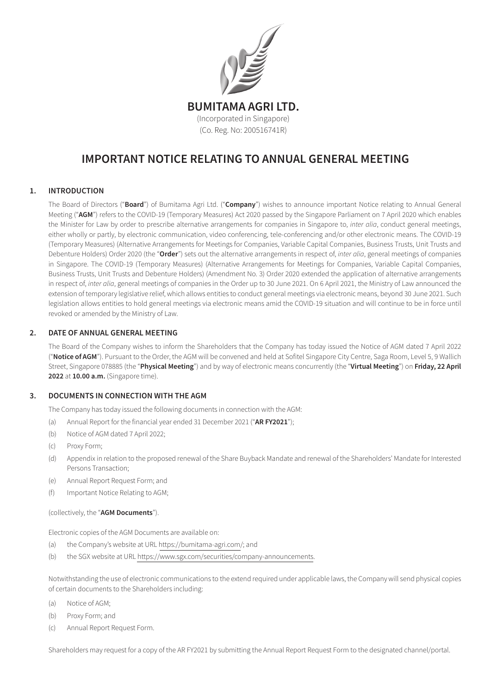

# IMPORTANT NOTICE RELATING TO ANNUAL GENERAL MEETING

### 1. INTRODUCTION

The Board of Directors ("Board") of Bumitama Agri Ltd. ("Company") wishes to announce important Notice relating to Annual General Meeting ("AGM") refers to the COVID-19 (Temporary Measures) Act 2020 passed by the Singapore Parliament on 7 April 2020 which enables the Minister for Law by order to prescribe alternative arrangements for companies in Singapore to, *inter alia*, conduct general meetings, either wholly or partly, by electronic communication, video conferencing, tele-conferencing and/or other electronic means. The COVID-19 (Temporary Measures) (Alternative Arrangements for Meetings for Companies, Variable Capital Companies, Business Trusts, Unit Trusts and Debenture Holders) Order 2020 (the "Order") sets out the alternative arrangements in respect of, *inter alia*, general meetings of companies in Singapore. The COVID-19 (Temporary Measures) (Alternative Arrangements for Meetings for Companies, Variable Capital Companies, Business Trusts, Unit Trusts and Debenture Holders) (Amendment No. 3) Order 2020 extended the application of alternative arrangements in respect of, *inter alia*, general meetings of companies in the Order up to 30 June 2021. On 6 April 2021, the Ministry of Law announced the extension of temporary legislative relief, which allows entities to conduct general meetings via electronic means, beyond 30 June 2021. Such legislation allows entities to hold general meetings via electronic means amid the COVID-19 situation and will continue to be in force until revoked or amended by the Ministry of Law.

#### 2. DATE OF ANNUAL GENERAL MEETING

 The Board of the Company wishes to inform the Shareholders that the Company has today issued the Notice of AGM dated 7 April 2022 ("Notice of AGM"). Pursuant to the Order, the AGM will be convened and held at Sofitel Singapore City Centre, Saga Room, Level 5, 9 Wallich Street, Singapore 078885 (the "Physical Meeting") and by way of electronic means concurrently (the "Virtual Meeting") on Friday, 22 April 2022 at 10.00 a.m. (Singapore time).

#### 3. DOCUMENTS IN CONNECTION WITH THE AGM

The Company has today issued the following documents in connection with the AGM:

- (a) Annual Report for the financial year ended 31 December 2021 ("AR FY2021");
- (b) Notice of AGM dated 7 April 2022;
- (c) Proxy Form;
- (d) Appendix in relation to the proposed renewal of the Share Buyback Mandate and renewal of the Shareholders' Mandate for Interested Persons Transaction;
- (e) Annual Report Request Form; and
- (f) Important Notice Relating to AGM;

#### (collectively, the "AGM Documents").

Electronic copies of the AGM Documents are available on:

- (a) the Company's website at URL https://bumitama-agri.com/; and
- (b) the SGX website at URL https://www.sgx.com/securities/company-announcements.

 Notwithstanding the use of electronic communications to the extend required under applicable laws, the Companywill send physical copies of certain documents to the Shareholders including:

- (a) Notice of AGM;
- (b) Proxy Form; and
- (c) Annual Report Request Form.

 Shareholders may request for a copy of the AR FY2021 by submitting the Annual Report Request Form to the designated channel/portal.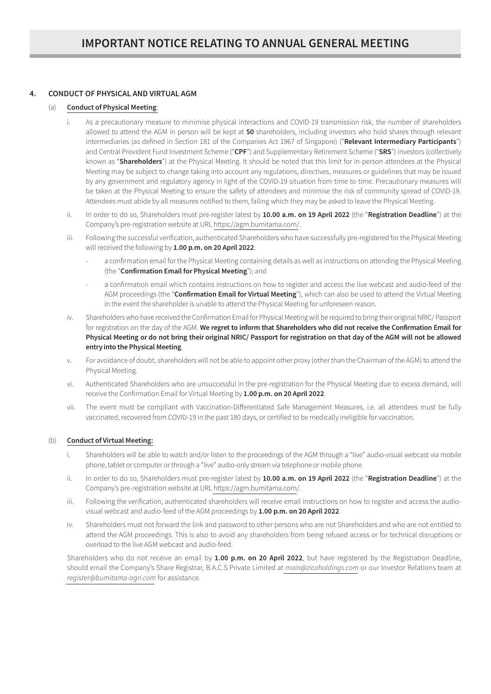# 4. CONDUCT OF PHYSICAL AND VIRTUAL AGM

## (a) Conduct of Physical Meeting:

- i. As a precautionary measure to minimise physical interactions and COVID-19 transmission risk, the number of shareholders allowed to attend the AGM in person will be kept at 50 shareholders, including investors who hold shares through relevant intermediaries (as defined in Section 181 of the Companies Act 1967 of Singapore) ("Relevant Intermediary Participants") and Central Provident Fund Investment Scheme ("CPF") and Supplementary Retirement Scheme ("SRS") investors (collectively known as "Shareholders") at the Physical Meeting. It should be noted that this limit for in-person attendees at the Physical Meeting may be subject to change taking into account any regulations, directives, measures or guidelines that may be issued by any government and regulatory agency in light of the COVID-19 situation from time to time. Precautionary measures will be taken at the Physical Meeting to ensure the safety of attendees and minimise the risk of community spread of COVID-19. Attendees must abide by all measures notified to them, failing which they may be asked to leave the Physical Meeting.
- ii. In order to do so, Shareholders must pre-register latest by 10.00 a.m. on 19 April 2022 (the "Registration Deadline") at the Company's pre-registration website at URL https://agm.bumitama.com/.
- iii. Following the successful verification, authenticated Shareholders who have successfully pre-registered for the Physical Meeting will received the following by 1.00 p.m. on 20 April 2022:
	- a confirmation email for the Physical Meeting containing details as well as instructions on attending the Physical Meeting (the "Confirmation Email for Physical Meeting"); and
	- a confirmation email which contains instructions on how to register and access the live webcast and audio-feed of the AGM proceedings (the "Confirmation Email for Virtual Meeting"), which can also be used to attend the Virtual Meeting in the event the shareholder is unable to attend the Physical Meeting for unforeseen reason.
- iv. Shareholders who have received the Confirmation Email for Physical Meeting will be required to bring their original NRIC/ Passport for registration on the day of the AGM. We regret to inform that Shareholders who did not receive the Confirmation Email for Physical Meeting or do not bring their original NRIC/ Passport for registration on that day of the AGM will not be allowed entry into the Physical Meeting.
- v. For avoidance of doubt, shareholders will not be able to appoint other proxy (other than the Chairman of the AGM) to attend the Physical Meeting.
- vi. Authenticated Shareholders who are unsuccessful in the pre-registration for the Physical Meeting due to excess demand, will receive the Confirmation Email for Virtual Meeting by 1.00 p.m. on 20 April 2022.
- vii. The event must be compliant with Vaccination-Differentiated Safe Management Measures, i.e. all attendees must be fully vaccinated, recovered from COVID-19 in the past 180 days, or certified to be medically ineligible for vaccination.

#### (b) Conduct of Virtual Meeting:

- i. Shareholders will be able to watch and/or listen to the proceedings of the AGM through a "live" audio-visual webcast via mobile phone, tablet or computer or through a "live" audio-only stream via telephone or mobile phone.
- ii. In order to do so, Shareholders must pre-register latest by 10.00 a.m. on 19 April 2022 (the "Registration Deadline") at the Company's pre-registration website at URL https://agm.bumitama.com/.
- iii. Following the verification, authenticated shareholders will receive email instructions on how to register and access the audiovisual webcast and audio-feed of the AGM proceedings by 1.00 p.m. on 20 April 2022.
- iv. Shareholders must not forward the link and password to other persons who are not Shareholders and who are not entitled to attend the AGM proceedings. This is also to avoid any shareholders from being refused access or for technical disruptions or overload to the live AGM webcast and audio-feed.

Shareholders who do not receive an email by 1.00 p.m. on 20 April 2022, but have registered by the Registration Deadline, should email the Company's Share Registrar, B.A.C.S Private Limited at *main@zicoholdings.com* or our Investor Relations team at *register@bumitama-agri.com* for assistance.